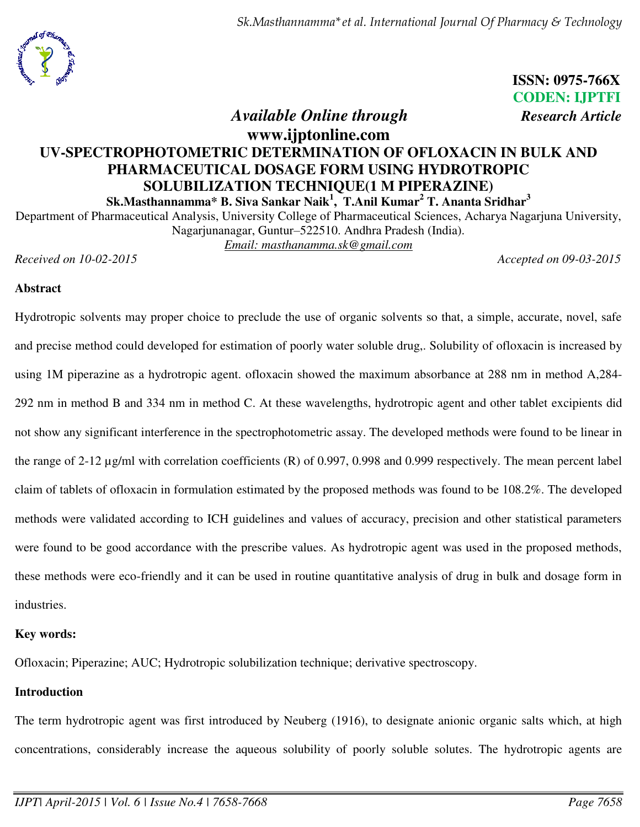

 **ISSN: 0975-766X CODEN: IJPTFI** 

# *<i>Available Online through Research Article*

**www.ijptonline.com**

# **UV-SPECTROPHOTOMETRIC DETERMINATION OF OFLOXACIN IN BULK AND PHARMACEUTICAL DOSAGE FORM USING HYDROTROPIC SOLUBILIZATION TECHNIQUE(1 M PIPERAZINE)**

**Sk.Masthannamma\* B. Siva Sankar Naik<sup>1</sup> , T.Anil Kumar<sup>2</sup> T. Ananta Sridhar<sup>3</sup>**

Department of Pharmaceutical Analysis, University College of Pharmaceutical Sciences, Acharya Nagarjuna University, Nagarjunanagar, Guntur–522510. Andhra Pradesh (India).

*Email: [masthanamma.sk@gmail.com](mailto:masthanamma.sk@gmail.com)*

*Received on 10-02-2015 Accepted on 09-03-2015* 

### **Abstract**

Hydrotropic solvents may proper choice to preclude the use of organic solvents so that, a simple, accurate, novel, safe and precise method could developed for estimation of poorly water soluble drug,. Solubility of ofloxacin is increased by using 1M piperazine as a hydrotropic agent. ofloxacin showed the maximum absorbance at 288 nm in method A,284- 292 nm in method B and 334 nm in method C. At these wavelengths, hydrotropic agent and other tablet excipients did not show any significant interference in the spectrophotometric assay. The developed methods were found to be linear in the range of 2-12 µg/ml with correlation coefficients (R) of 0.997, 0.998 and 0.999 respectively. The mean percent label claim of tablets of ofloxacin in formulation estimated by the proposed methods was found to be 108.2%. The developed methods were validated according to ICH guidelines and values of accuracy, precision and other statistical parameters were found to be good accordance with the prescribe values. As hydrotropic agent was used in the proposed methods, these methods were eco-friendly and it can be used in routine quantitative analysis of drug in bulk and dosage form in industries.

# **Key words:**

Ofloxacin; Piperazine; AUC; Hydrotropic solubilization technique; derivative spectroscopy.

# **Introduction**

The term hydrotropic agent was first introduced by Neuberg (1916), to designate anionic organic salts which, at high concentrations, considerably increase the aqueous solubility of poorly soluble solutes. The hydrotropic agents are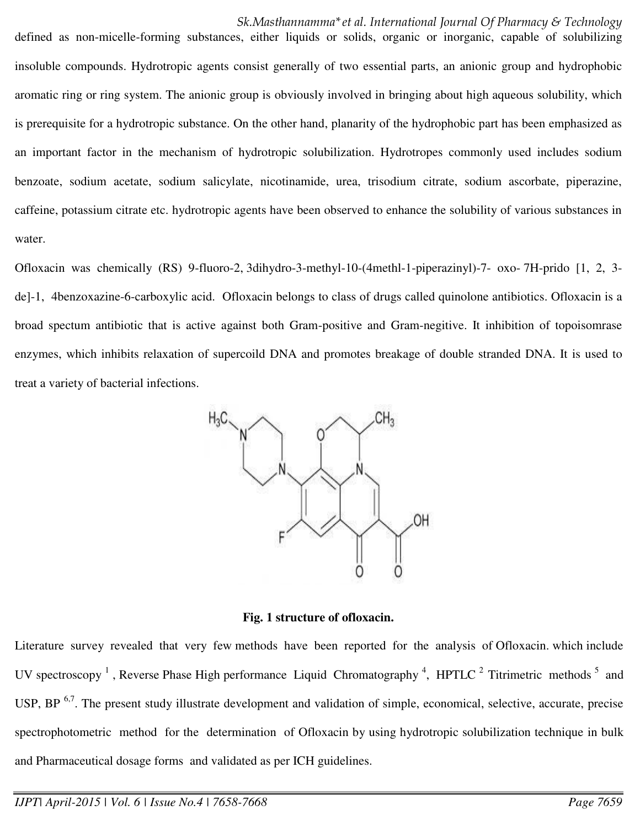*Sk.Masthannamma\*et al. International Journal Of Pharmacy & Technology*  defined as non-micelle-forming substances, either liquids or solids, organic or inorganic, capable of solubilizing insoluble compounds. Hydrotropic agents consist generally of two essential parts, an anionic group and hydrophobic aromatic ring or ring system. The anionic group is obviously involved in bringing about high aqueous solubility, which is prerequisite for a hydrotropic substance. On the other hand, planarity of the hydrophobic part has been emphasized as an important factor in the mechanism of hydrotropic solubilization. Hydrotropes commonly used includes sodium benzoate, sodium acetate, sodium salicylate, nicotinamide, urea, trisodium citrate, sodium ascorbate, piperazine, caffeine, potassium citrate etc. hydrotropic agents have been observed to enhance the solubility of various substances in water.

Ofloxacin was chemically (RS) 9-fluoro-2, 3dihydro-3-methyl-10-(4methl-1-piperazinyl)-7- oxo- 7H-prido [1, 2, 3 de]-1, 4benzoxazine-6-carboxylic acid. Ofloxacin belongs to class of drugs called quinolone antibiotics. Ofloxacin is a broad spectum antibiotic that is active against both Gram-positive and Gram-negitive. It inhibition of topoisomrase enzymes, which inhibits relaxation of supercoild DNA and promotes breakage of double stranded DNA. It is used to treat a variety of bacterial infections.



**Fig. 1 structure of ofloxacin.** 

Literature survey revealed that very few methods have been reported for the analysis of Ofloxacin. which include UV spectroscopy<sup>1</sup>, Reverse Phase High performance Liquid Chromatography<sup>4</sup>, HPTLC<sup>2</sup> Titrimetric methods<sup>5</sup> and USP, BP  $<sup>6,7</sup>$ . The present study illustrate development and validation of simple, economical, selective, accurate, precise</sup> spectrophotometric method for the determination of Ofloxacin by using hydrotropic solubilization technique in bulk and Pharmaceutical dosage forms and validated as per ICH guidelines.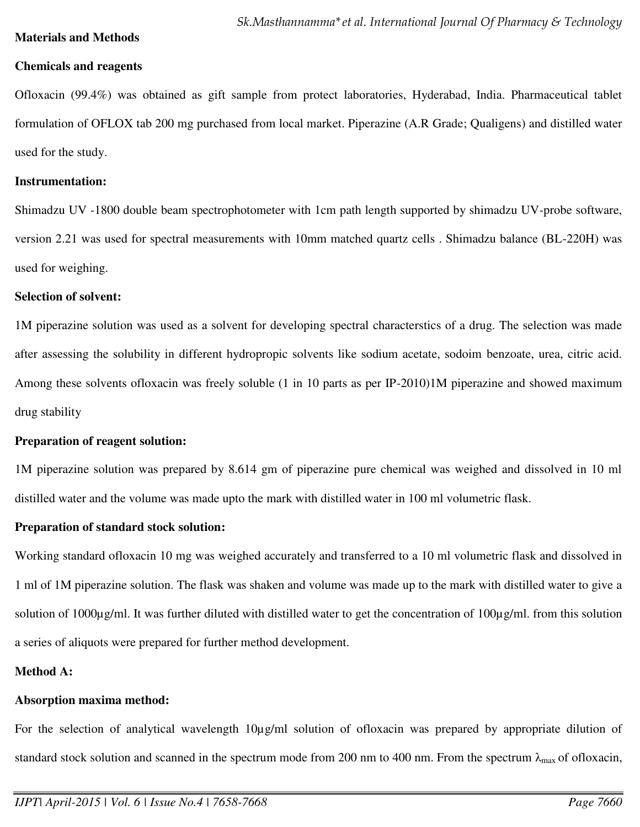### **Materials and Methods**

### **Chemicals and reagents**

Ofloxacin (99.4%) was obtained as gift sample from protect laboratories, Hyderabad, India. Pharmaceutical tablet formulation of OFLOX tab 200 mg purchased from local market. Piperazine (A.R Grade; Qualigens) and distilled water used for the study.

### **Instrumentation:**

Shimadzu UV -1800 double beam spectrophotometer with 1cm path length supported by shimadzu UV-probe software, version 2.21 was used for spectral measurements with 10mm matched quartz cells . Shimadzu balance (BL-220H) was used for weighing.

### **Selection of solvent:**

1M piperazine solution was used as a solvent for developing spectral characterstics of a drug. The selection was made after assessing the solubility in different hydropropic solvents like sodium acetate, sodoim benzoate, urea, citric acid. Among these solvents ofloxacin was freely soluble (1 in 10 parts as per IP-2010)1M piperazine and showed maximum drug stability

### **Preparation of reagent solution:**

1M piperazine solution was prepared by 8.614 gm of piperazine pure chemical was weighed and dissolved in 10 ml distilled water and the volume was made upto the mark with distilled water in 100 ml volumetric flask.

# **Preparation of standard stock solution:**

Working standard ofloxacin 10 mg was weighed accurately and transferred to a 10 ml volumetric flask and dissolved in 1 ml of 1M piperazine solution. The flask was shaken and volume was made up to the mark with distilled water to give a solution of 1000μg/ml. It was further diluted with distilled water to get the concentration of 100μg/ml. from this solution a series of aliquots were prepared for further method development.

# **Method A:**

# **Absorption maxima method:**

For the selection of analytical wavelength 10µg/ml solution of ofloxacin was prepared by appropriate dilution of standard stock solution and scanned in the spectrum mode from 200 nm to 400 nm. From the spectrum  $\lambda_{\text{max}}$  of ofloxacin,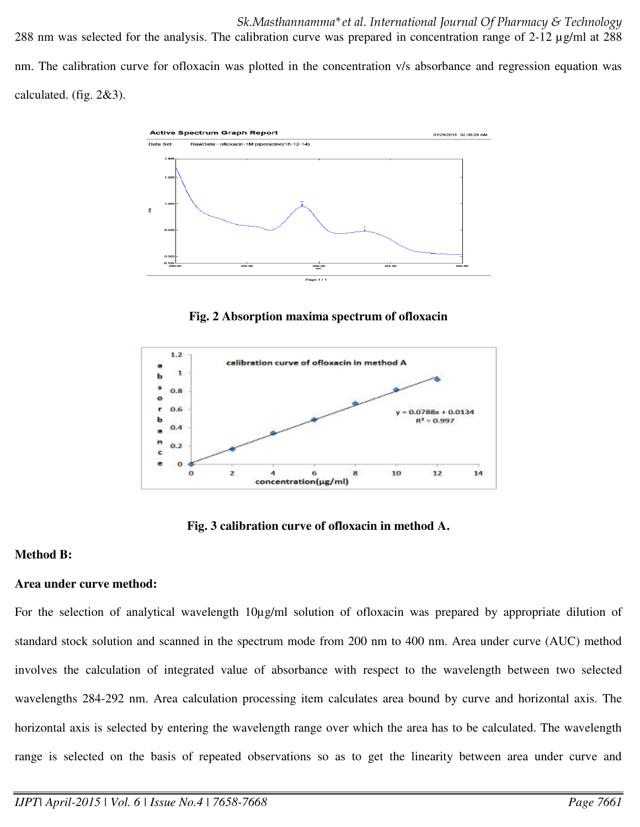*Sk.Masthannamma\*et al. International Journal Of Pharmacy & Technology*  288 nm was selected for the analysis. The calibration curve was prepared in concentration range of 2-12 µg/ml at 288 nm. The calibration curve for ofloxacin was plotted in the concentration v/s absorbance and regression equation was calculated. (fig. 2&3).



**Fig. 2 Absorption maxima spectrum of ofloxacin** 



**Fig. 3 calibration curve of ofloxacin in method A.**

# **Method B:**

### **Area under curve method:**

For the selection of analytical wavelength 10µg/ml solution of ofloxacin was prepared by appropriate dilution of standard stock solution and scanned in the spectrum mode from 200 nm to 400 nm. Area under curve (AUC) method involves the calculation of integrated value of absorbance with respect to the wavelength between two selected wavelengths 284-292 nm. Area calculation processing item calculates area bound by curve and horizontal axis. The horizontal axis is selected by entering the wavelength range over which the area has to be calculated. The wavelength range is selected on the basis of repeated observations so as to get the linearity between area under curve and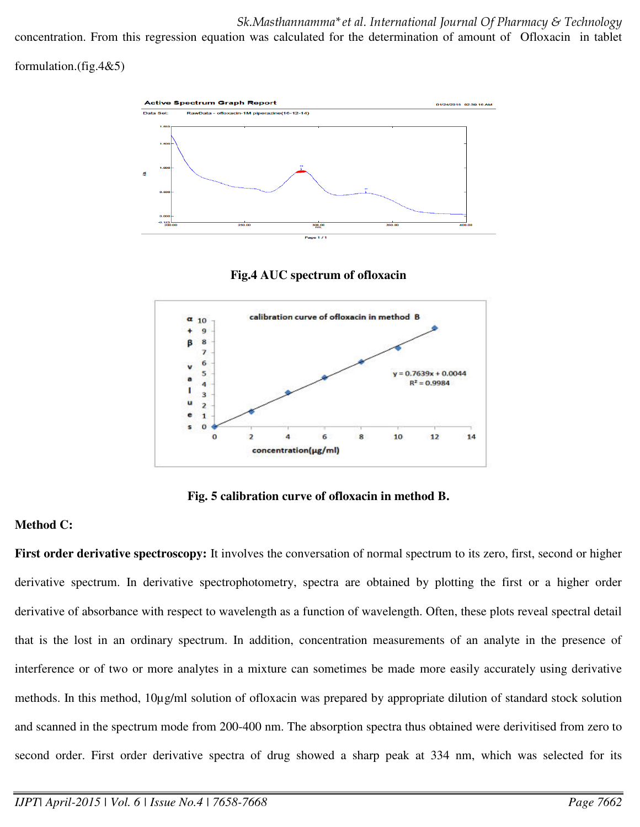*Sk.Masthannamma\*et al. International Journal Of Pharmacy & Technology* 

concentration. From this regression equation was calculated for the determination of amount of Ofloxacin in tablet

formulation.(fig.4&5)







**Fig. 5 calibration curve of ofloxacin in method B.**

# **Method C:**

**First order derivative spectroscopy:** It involves the conversation of normal spectrum to its zero, first, second or higher derivative spectrum. In derivative spectrophotometry, spectra are obtained by plotting the first or a higher order derivative of absorbance with respect to wavelength as a function of wavelength. Often, these plots reveal spectral detail that is the lost in an ordinary spectrum. In addition, concentration measurements of an analyte in the presence of interference or of two or more analytes in a mixture can sometimes be made more easily accurately using derivative methods. In this method, 10µg/ml solution of ofloxacin was prepared by appropriate dilution of standard stock solution and scanned in the spectrum mode from 200-400 nm. The absorption spectra thus obtained were derivitised from zero to second order. First order derivative spectra of drug showed a sharp peak at 334 nm, which was selected for its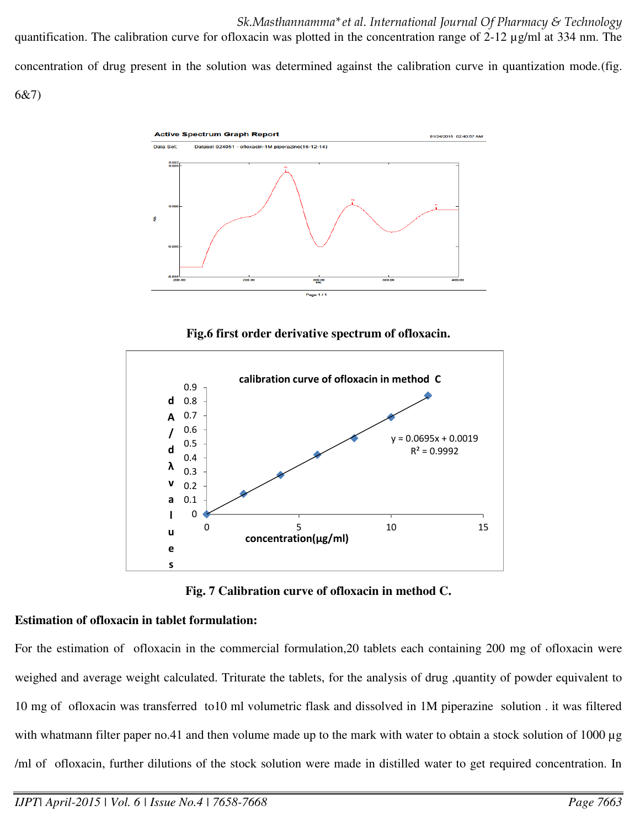*Sk.Masthannamma\*et al. International Journal Of Pharmacy & Technology*  quantification. The calibration curve for ofloxacin was plotted in the concentration range of 2-12 µg/ml at 334 nm. The concentration of drug present in the solution was determined against the calibration curve in quantization mode.(fig. 6&7)



**Fig.6 first order derivative spectrum of ofloxacin.** 



**Fig. 7 Calibration curve of ofloxacin in method C.** 

# **Estimation of ofloxacin in tablet formulation:**

For the estimation of ofloxacin in the commercial formulation,20 tablets each containing 200 mg of ofloxacin were weighed and average weight calculated. Triturate the tablets, for the analysis of drug ,quantity of powder equivalent to 10 mg of ofloxacin was transferred to10 ml volumetric flask and dissolved in 1M piperazine solution . it was filtered with whatmann filter paper no.41 and then volume made up to the mark with water to obtain a stock solution of 1000 µg /ml of ofloxacin, further dilutions of the stock solution were made in distilled water to get required concentration. In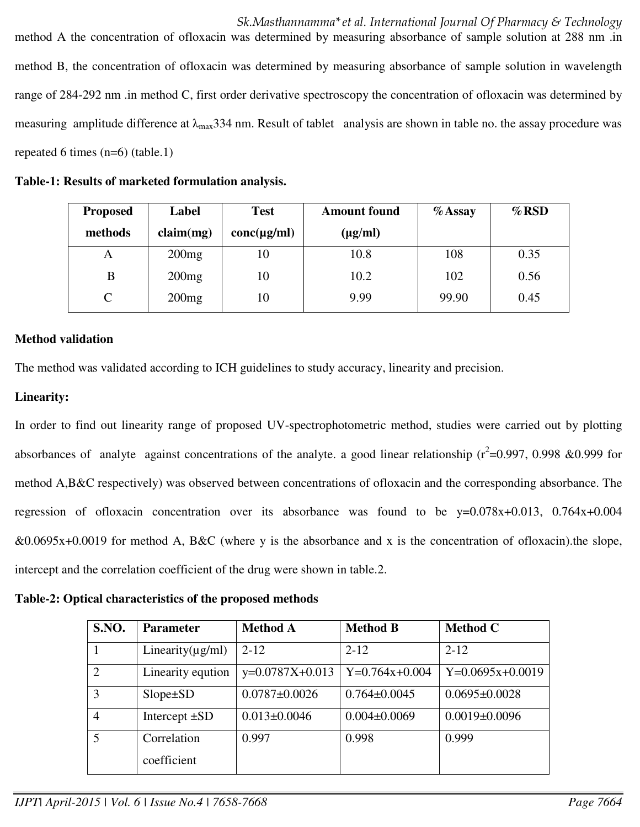*Sk.Masthannamma\*et al. International Journal Of Pharmacy & Technology*  method A the concentration of ofloxacin was determined by measuring absorbance of sample solution at 288 nm .in method B, the concentration of ofloxacin was determined by measuring absorbance of sample solution in wavelength range of 284-292 nm .in method C, first order derivative spectroscopy the concentration of ofloxacin was determined by measuring amplitude difference at  $\lambda_{\text{max}}$ 334 nm. Result of tablet analysis are shown in table no. the assay procedure was repeated 6 times (n=6) (table.1)

| Table-1: Results of marketed formulation analysis. |  |  |  |  |
|----------------------------------------------------|--|--|--|--|
|----------------------------------------------------|--|--|--|--|

| <b>Proposed</b> | Label     | <b>Test</b><br><b>Amount found</b> |              | $%$ Assay | $\%$ RSD |
|-----------------|-----------|------------------------------------|--------------|-----------|----------|
| methods         | claim(mg) | $conc(\mu g/ml)$                   | $(\mu g/ml)$ |           |          |
| A               | 200mg     | 10                                 | 10.8         | 108       | 0.35     |
| В               | 200mg     | 10                                 | 10.2         | 102       | 0.56     |
| $\mathsf{C}$    | 200mg     | 10                                 | 9.99         | 99.90     | 0.45     |

# **Method validation**

The method was validated according to ICH guidelines to study accuracy, linearity and precision.

# **Linearity:**

In order to find out linearity range of proposed UV-spectrophotometric method, studies were carried out by plotting absorbances of analyte against concentrations of the analyte. a good linear relationship ( $r^2$ =0.997, 0.998 &0.999 for method A,B&C respectively) was observed between concentrations of ofloxacin and the corresponding absorbance. The regression of ofloxacin concentration over its absorbance was found to be y=0.078x+0.013, 0.764x+0.004  $&0.0695x+0.0019$  for method A, B&C (where y is the absorbance and x is the concentration of ofloxacin).the slope, intercept and the correlation coefficient of the drug were shown in table.2.

**Table-2: Optical characteristics of the proposed methods** 

| <b>S.NO.</b>   | <b>Parameter</b>           | <b>Method A</b>     | <b>Method B</b>    | <b>Method C</b>     |
|----------------|----------------------------|---------------------|--------------------|---------------------|
|                | Linearity $(\mu g/ml)$     | $2 - 12$            | $2 - 12$           | $2 - 12$            |
| $\overline{2}$ | Linearity eqution          | $y=0.0787X+0.013$   | $Y=0.764x+0.004$   | $Y=0.0695x+0.0019$  |
| 3              | $Slope \pm SD$             | $0.0787 \pm 0.0026$ | $0.764 \pm 0.0045$ | $0.0695 \pm 0.0028$ |
| $\overline{4}$ | Intercept $\pm SD$         | $0.013 \pm 0.0046$  | $0.004 \pm 0.0069$ | $0.0019 \pm 0.0096$ |
| 5              | Correlation<br>coefficient | 0.997               | 0.998              | 0.999               |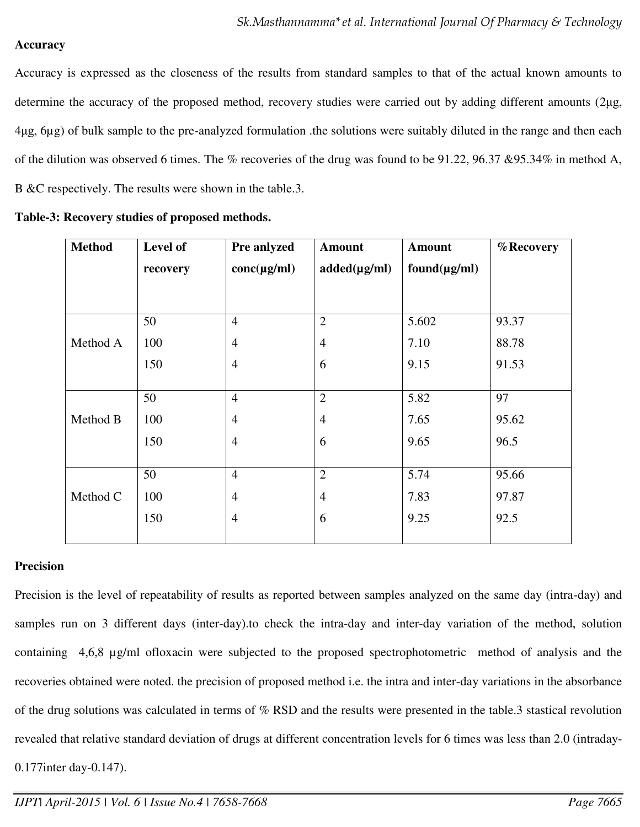### **Accuracy**

Accuracy is expressed as the closeness of the results from standard samples to that of the actual known amounts to determine the accuracy of the proposed method, recovery studies were carried out by adding different amounts (2µg, 4ȝg, 6µg) of bulk sample to the pre-analyzed formulation .the solutions were suitably diluted in the range and then each of the dilution was observed 6 times. The % recoveries of the drug was found to be  $91.22$ ,  $96.37 \& 95.34\%$  in method A, B &C respectively. The results were shown in the table.3.

| <b>Method</b> | Level of | Pre anlyzed      | <b>Amount</b>     | <b>Amount</b>     | % Recovery |
|---------------|----------|------------------|-------------------|-------------------|------------|
|               | recovery | $conc(\mu g/ml)$ | $added(\mu g/ml)$ | $found(\mu g/ml)$ |            |
|               |          |                  |                   |                   |            |
|               | 50       | $\overline{4}$   | $\overline{2}$    | 5.602             | 93.37      |
| Method A      | 100      | $\overline{4}$   | $\overline{4}$    | 7.10              | 88.78      |
|               | 150      | $\overline{4}$   | 6                 | 9.15              | 91.53      |
|               |          |                  |                   |                   |            |
|               | 50       | $\overline{4}$   | $\overline{2}$    | 5.82              | 97         |
| Method B      | 100      | $\overline{4}$   | $\overline{4}$    | 7.65              | 95.62      |
|               | 150      | $\overline{4}$   | 6                 | 9.65              | 96.5       |
|               |          |                  |                   |                   |            |
|               | 50       | $\overline{4}$   | $\mathbf{2}$      | 5.74              | 95.66      |
| Method C      | 100      | $\overline{4}$   | $\overline{4}$    | 7.83              | 97.87      |
|               | 150      | $\overline{4}$   | 6                 | 9.25              | 92.5       |
|               |          |                  |                   |                   |            |

|  | Table-3: Recovery studies of proposed methods. |  |  |  |  |
|--|------------------------------------------------|--|--|--|--|
|--|------------------------------------------------|--|--|--|--|

# **Precision**

Precision is the level of repeatability of results as reported between samples analyzed on the same day (intra-day) and samples run on 3 different days (inter-day).to check the intra-day and inter-day variation of the method, solution containing 4,6,8 µg/ml ofloxacin were subjected to the proposed spectrophotometric method of analysis and the recoveries obtained were noted. the precision of proposed method i.e. the intra and inter-day variations in the absorbance of the drug solutions was calculated in terms of % RSD and the results were presented in the table.3 stastical revolution revealed that relative standard deviation of drugs at different concentration levels for 6 times was less than 2.0 (intraday-0.177inter day-0.147).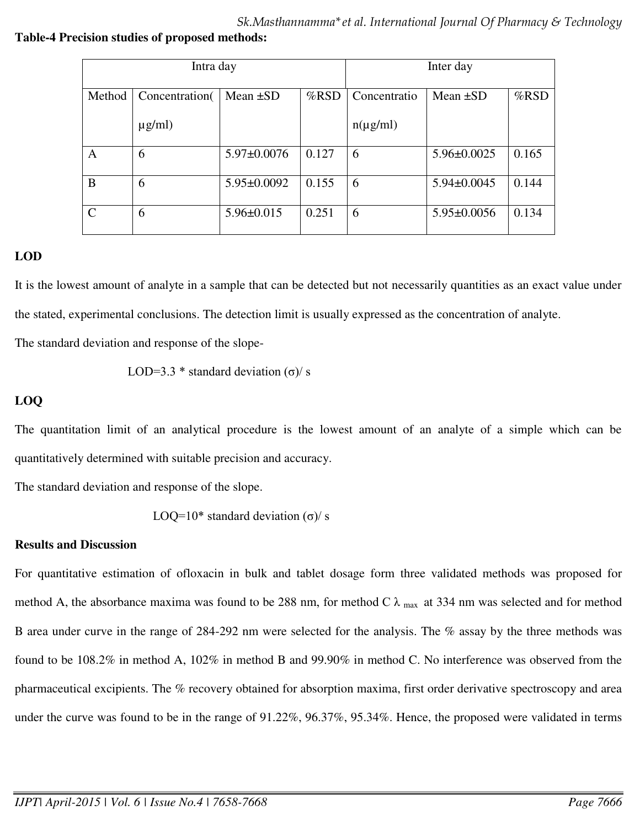*Sk.Masthannamma\*et al. International Journal Of Pharmacy & Technology* 

### **Table-4 Precision studies of proposed methods:**

| Intra day                   |                |                   |         | Inter day     |                   |         |  |
|-----------------------------|----------------|-------------------|---------|---------------|-------------------|---------|--|
| Method                      | Concentration( | Mean $\pm SD$     | $%$ RSD | Concentratio  | Mean $\pm SD$     | $%$ RSD |  |
|                             | $\mu$ g/ml)    |                   |         | $n(\mu g/ml)$ |                   |         |  |
| A                           | 6              | $5.97 \pm 0.0076$ | 0.127   | 6             | $5.96 \pm 0.0025$ | 0.165   |  |
| B                           | 6              | $5.95 \pm 0.0092$ | 0.155   | 6             | $5.94 \pm 0.0045$ | 0.144   |  |
| $\mathcal{C}_{\mathcal{C}}$ | 6              | $5.96 \pm 0.015$  | 0.251   | 6             | $5.95 \pm 0.0056$ | 0.134   |  |

# **LOD**

It is the lowest amount of analyte in a sample that can be detected but not necessarily quantities as an exact value under the stated, experimental conclusions. The detection limit is usually expressed as the concentration of analyte.

The standard deviation and response of the slope-

LOD=3.3 \* standard deviation (σ)/ s

# **LOQ**

The quantitation limit of an analytical procedure is the lowest amount of an analyte of a simple which can be quantitatively determined with suitable precision and accuracy.

The standard deviation and response of the slope.

LOQ=10\* standard deviation  $(\sigma)$ / s

# **Results and Discussion**

For quantitative estimation of ofloxacin in bulk and tablet dosage form three validated methods was proposed for method A, the absorbance maxima was found to be 288 nm, for method C  $\lambda$  max at 334 nm was selected and for method B area under curve in the range of 284-292 nm were selected for the analysis. The % assay by the three methods was found to be 108.2% in method A, 102% in method B and 99.90% in method C. No interference was observed from the pharmaceutical excipients. The % recovery obtained for absorption maxima, first order derivative spectroscopy and area under the curve was found to be in the range of 91.22%, 96.37%, 95.34%. Hence, the proposed were validated in terms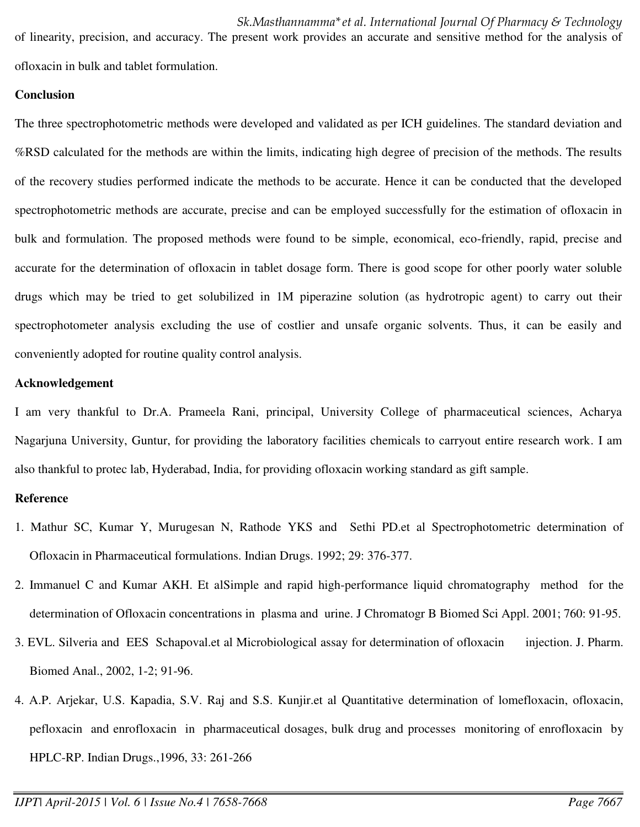of linearity, precision, and accuracy. The present work provides an accurate and sensitive method for the analysis of ofloxacin in bulk and tablet formulation.

#### **Conclusion**

The three spectrophotometric methods were developed and validated as per ICH guidelines. The standard deviation and %RSD calculated for the methods are within the limits, indicating high degree of precision of the methods. The results of the recovery studies performed indicate the methods to be accurate. Hence it can be conducted that the developed spectrophotometric methods are accurate, precise and can be employed successfully for the estimation of ofloxacin in bulk and formulation. The proposed methods were found to be simple, economical, eco-friendly, rapid, precise and accurate for the determination of ofloxacin in tablet dosage form. There is good scope for other poorly water soluble drugs which may be tried to get solubilized in 1M piperazine solution (as hydrotropic agent) to carry out their spectrophotometer analysis excluding the use of costlier and unsafe organic solvents. Thus, it can be easily and conveniently adopted for routine quality control analysis.

#### **Acknowledgement**

I am very thankful to Dr.A. Prameela Rani, principal, University College of pharmaceutical sciences, Acharya Nagarjuna University, Guntur, for providing the laboratory facilities chemicals to carryout entire research work. I am also thankful to protec lab, Hyderabad, India, for providing ofloxacin working standard as gift sample.

### **Reference**

- 1. Mathur SC, Kumar Y, Murugesan N, Rathode YKS and Sethi PD.et al Spectrophotometric determination of Ofloxacin in Pharmaceutical formulations. Indian Drugs. 1992; 29: 376-377.
- 2. Immanuel C and Kumar AKH. Et alSimple and rapid high-performance liquid chromatography method for the determination of Ofloxacin concentrations in plasma and urine. J Chromatogr B Biomed Sci Appl. 2001; 760: 91-95.
- 3. EVL. Silveria and EES Schapoval.et al Microbiological assay for determination of ofloxacin injection. J. Pharm. Biomed Anal., 2002, 1-2; 91-96.
- 4. A.P. Arjekar, U.S. Kapadia, S.V. Raj and S.S. Kunjir.et al Quantitative determination of lomefloxacin, ofloxacin, pefloxacin and enrofloxacin in pharmaceutical dosages, bulk drug and processes monitoring of enrofloxacin by HPLC-RP. Indian Drugs.,1996, 33: 261-266